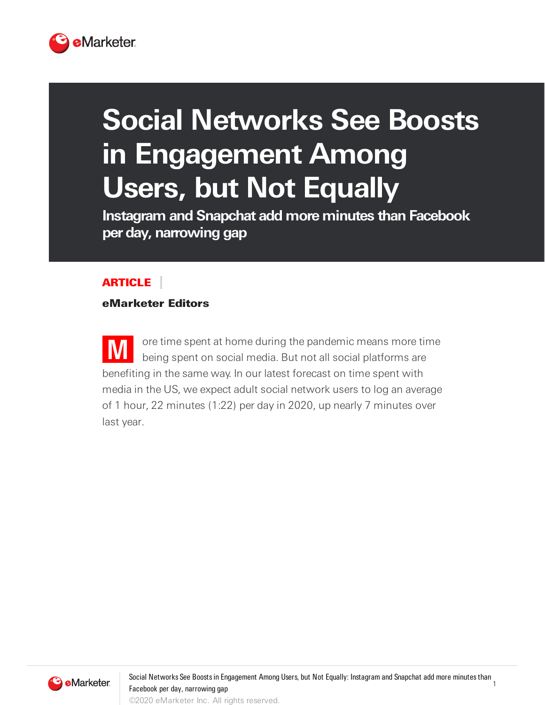

# **Social Networks See Boosts in Engagement Among Users, but Not Equally**

**Instagram and Snapchat add more minutes than Facebook per day, narrowing gap**

#### ARTICLE

#### eMarketer Editors

**M** ore time spent at home during the pandemic means more time being spent on social media. But not all social platforms are benefiting in the same way. In our latest forecast on time spent with media in the US, we expect adult social network users to log an average of 1 hour, 22 minutes (1:22) per day in 2020, up nearly 7 minutes over last year.



1 Social Networks See Boosts in Engagement Among Users, but Not Equally: Instagram and Snapchat add more minutes than Facebook per day, narrowing gap ©2020 eMarketer Inc. All rights reserved.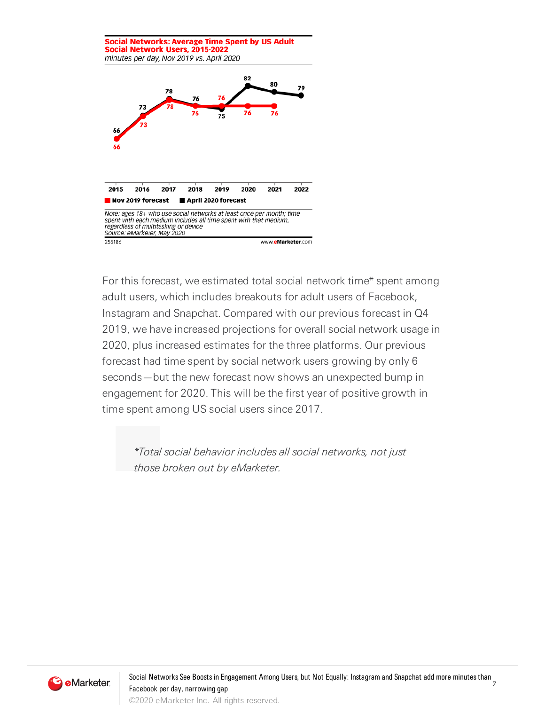

For this forecast, we estimated total social network time\* spent among adult users, which includes breakouts for adult users of Facebook, Instagram and Snapchat. Compared with our previous forecast in Q4 2019, we have increased projections for overall social network usage in 2020, plus increased estimates for the three platforms. Our previous forecast had time spent by social network users growing by only 6 seconds—but the new forecast now shows an unexpected bump in engagement for 2020. This will be the first year of positive growth in time spent among US social users since 2017.

\*Total social behavior includes all social networks, not just those broken out by eMarketer.



2 Social Networks See Boostsin Engagement Among Users, but Not Equally: Instagram and Snapchat add more minutesthan Facebook per day, narrowing gap ©2020 eMarketer Inc. All rights reserved.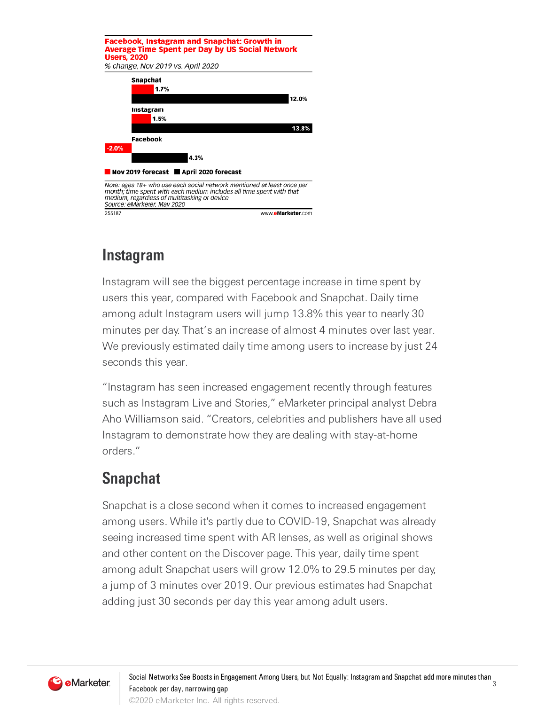

## **Instagram**

Instagram will see the biggest percentage increase in time spent by users this year, compared with Facebook and Snapchat. Daily time among adult Instagram users will jump 13.8% this year to nearly 30 minutes per day. That's an increase of almost 4 minutes over last year. We previously estimated daily time among users to increase by just 24 seconds this year.

"Instagram has seen increased engagement recently through features such as Instagram Live and Stories," eMarketer principal analyst Debra Aho Williamson said. "Creators, celebrities and publishers have all used Instagram to demonstrate how they are dealing with stay-at-home orders."

## **Snapchat**

Snapchat is a close second when it comes to increased engagement among users. While it's partly due to COVID-19, Snapchat was already seeing increased time spent with AR lenses, as well as original shows and other content on the Discover page. This year, daily time spent among adult Snapchat users will grow 12.0% to 29.5 minutes per day, a jump of 3 minutes over 2019. Our previous estimates had Snapchat adding just 30 seconds per day this year among adult users.